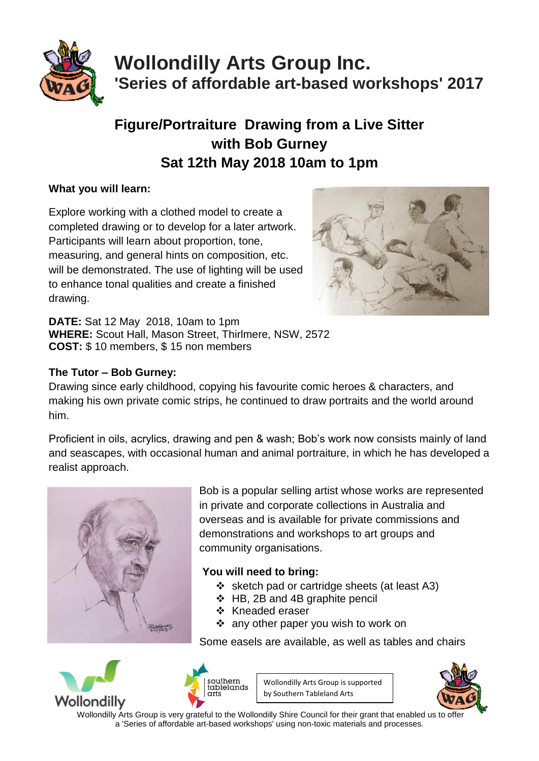

# **Wollondilly Arts Group Inc. 'Series of affordable art-based workshops' 2017**

## **Figure/Portraiture Drawing from a Live Sitter with Bob Gurney Sat 12th May 2018 10am to 1pm**

### **What you will learn:**

Explore working with a clothed model to create a completed drawing or to develop for a later artwork. Participants will learn about proportion, tone, measuring, and general hints on composition, etc. will be demonstrated. The use of lighting will be used to enhance tonal qualities and create a finished drawing.



**DATE:** Sat 12 May 2018, 10am to 1pm **WHERE:** Scout Hall, Mason Street, Thirlmere, NSW, 2572 **COST:** \$ 10 members, \$ 15 non members

### **The Tutor – Bob Gurney:**

Drawing since early childhood, copying his favourite comic heroes & characters, and making his own private comic strips, he continued to draw portraits and the world around him.

Proficient in oils, acrylics, drawing and pen & wash; Bob's work now consists mainly of land and seascapes, with occasional human and animal portraiture, in which he has developed a realist approach.



Bob is a popular selling artist whose works are represented in private and corporate collections in Australia and overseas and is available for private commissions and demonstrations and workshops to art groups and community organisations.

### **You will need to bring:**

- $\div$  sketch pad or cartridge sheets (at least A3)
- HB, 2B and 4B graphite pencil
- ❖ Kneaded eraser
- ❖ any other paper you wish to work on

Some easels are available, as well as tables and chairs





Wollondilly Arts Group is supported by Southern Tableland Arts



 Wollondilly Arts Group is very grateful to the Wollondilly Shire Council for their grant that enabled us to offer a 'Series of affordable art-based workshops' using non-toxic materials and processes.